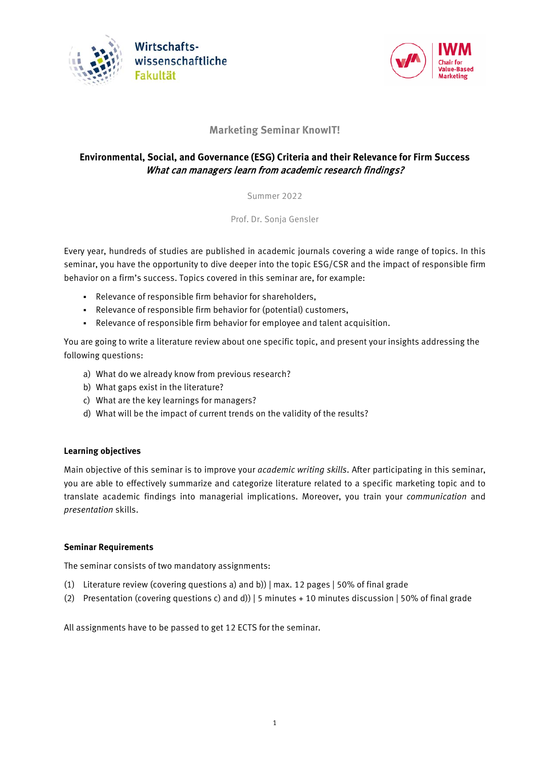



# **Marketing Seminar KnowIT!**

# **Environmental, Social, and Governance (ESG) Criteria and their Relevance for Firm Success** What can managers learn from academic research findings?

Summer 2022

Prof. Dr. Sonja Gensler

Every year, hundreds of studies are published in academic journals covering a wide range of topics. In this seminar, you have the opportunity to dive deeper into the topic ESG/CSR and the impact of responsible firm behavior on a firm's success. Topics covered in this seminar are, for example:

- Relevance of responsible firm behavior for shareholders,
- Relevance of responsible firm behavior for (potential) customers,
- Relevance of responsible firm behavior for employee and talent acquisition.

You are going to write a literature review about one specific topic, and present your insights addressing the following questions:

- a) What do we already know from previous research?
- b) What gaps exist in the literature?
- c) What are the key learnings for managers?
- d) What will be the impact of current trends on the validity of the results?

### **Learning objectives**

Main objective of this seminar is to improve your *academic writing skills*. After participating in this seminar, you are able to effectively summarize and categorize literature related to a specific marketing topic and to translate academic findings into managerial implications. Moreover, you train your *communication* and *presentation* skills.

### **Seminar Requirements**

The seminar consists of two mandatory assignments:

- (1) Literature review (covering questions a) and b)) | max. 12 pages | 50% of final grade
- (2) Presentation (covering questions c) and d)) | 5 minutes + 10 minutes discussion | 50% of final grade

All assignments have to be passed to get 12 ECTS for the seminar.